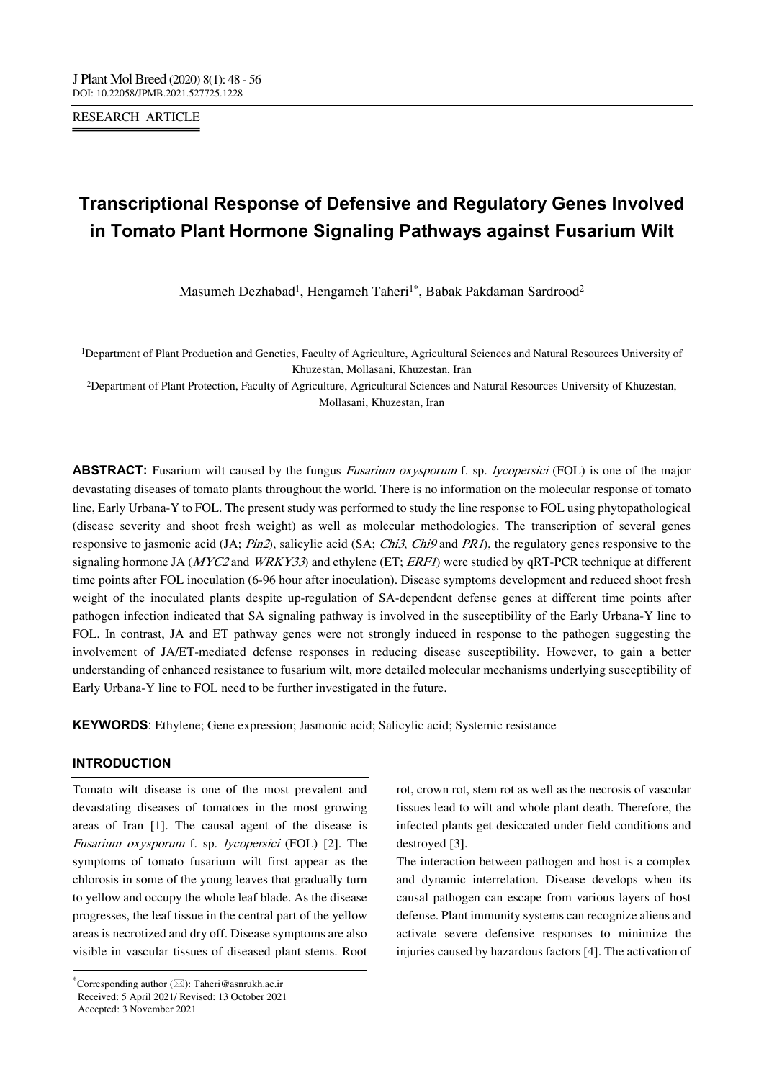RESEARCH ARTICLE

# **Transcriptional Response of Defensive and Regulatory Genes Involved in Tomato Plant Hormone Signaling Pathways against Fusarium Wilt**

Masumeh Dezhabad<sup>1</sup>, Hengameh Taheri<sup>1\*</sup>, Babak Pakdaman Sardrood<sup>2</sup>

1Department of Plant Production and Genetics, Faculty of Agriculture, Agricultural Sciences and Natural Resources University of Khuzestan, Mollasani, Khuzestan, Iran

2Department of Plant Protection, Faculty of Agriculture, Agricultural Sciences and Natural Resources University of Khuzestan, Mollasani, Khuzestan, Iran

**ABSTRACT:** Fusarium wilt caused by the fungus *Fusarium oxysporum* f. sp. *lycopersici* (FOL) is one of the major devastating diseases of tomato plants throughout the world. There is no information on the molecular response of tomato line, Early Urbana-Y to FOL. The present study was performed to study the line response to FOL using phytopathological (disease severity and shoot fresh weight) as well as molecular methodologies. The transcription of several genes responsive to jasmonic acid (JA;  $Pin2$ ), salicylic acid (SA; *Chi3, Chi9* and *PR1*), the regulatory genes responsive to the signaling hormone JA ( $MYC2$  and  $WRKY33$ ) and ethylene (ET;  $ERF1$ ) were studied by qRT-PCR technique at different time points after FOL inoculation (6-96 hour after inoculation). Disease symptoms development and reduced shoot fresh weight of the inoculated plants despite up-regulation of SA-dependent defense genes at different time points after pathogen infection indicated that SA signaling pathway is involved in the susceptibility of the Early Urbana-Y line to FOL. In contrast, JA and ET pathway genes were not strongly induced in response to the pathogen suggesting the involvement of JA/ET-mediated defense responses in reducing disease susceptibility. However, to gain a better understanding of enhanced resistance to fusarium wilt, more detailed molecular mechanisms underlying susceptibility of Early Urbana-Y line to FOL need to be further investigated in the future.

**KEYWORDS**: Ethylene; Gene expression; Jasmonic acid; Salicylic acid; Systemic resistance

#### **INTRODUCTION**

Tomato wilt disease is one of the most prevalent and devastating diseases of tomatoes in the most growing areas of Iran [1]. The causal agent of the disease is Fusarium oxysporum f. sp. lycopersici (FOL) [2]. The symptoms of tomato fusarium wilt first appear as the chlorosis in some of the young leaves that gradually turn to yellow and occupy the whole leaf blade. As the disease progresses, the leaf tissue in the central part of the yellow areas is necrotized and dry off. Disease symptoms are also visible in vascular tissues of diseased plant stems. Root

---------------------------------------------------------------------------------

Accepted: 3 November 2021

rot, crown rot, stem rot as well as the necrosis of vascular tissues lead to wilt and whole plant death. Therefore, the infected plants get desiccated under field conditions and destroyed [3].

The interaction between pathogen and host is a complex and dynamic interrelation. Disease develops when its causal pathogen can escape from various layers of host defense. Plant immunity systems can recognize aliens and activate severe defensive responses to minimize the injuries caused by hazardous factors [4]. The activation of

<sup>\*</sup>Corresponding author  $(\boxtimes)$ : Taheri@asnrukh.ac.ir Received: 5 April 2021/ Revised: 13 October 2021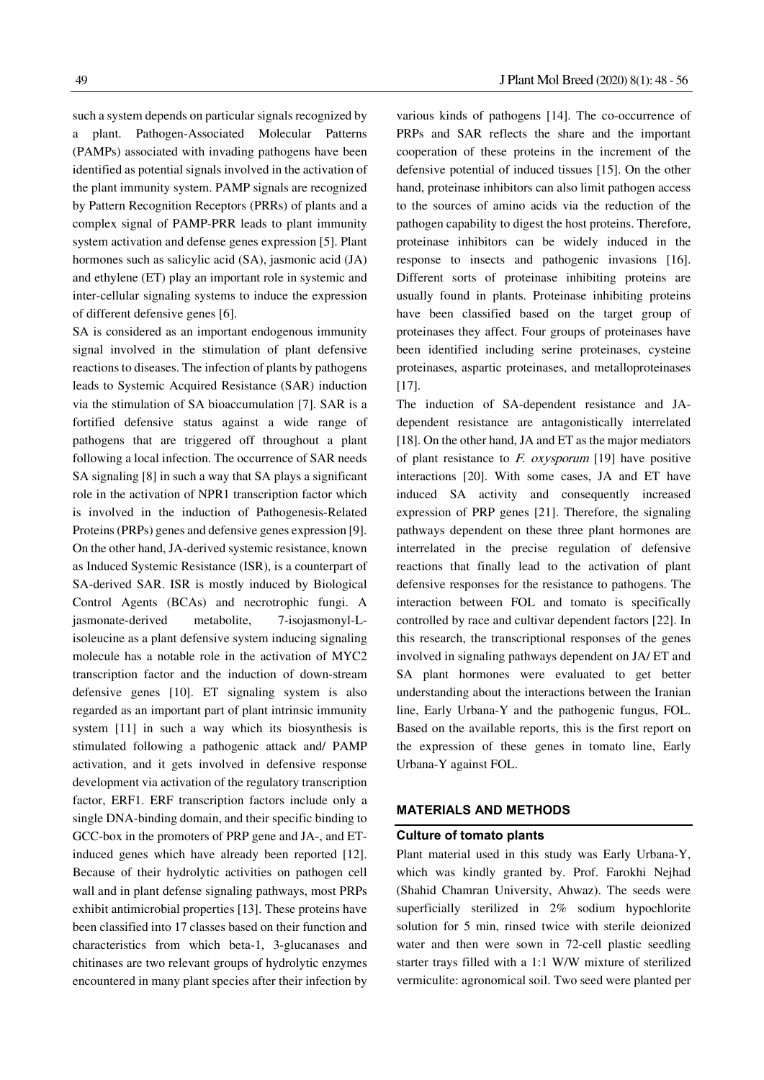such a system depends on particular signals recognized by a plant. Pathogen-Associated Molecular Patterns (PAMPs) associated with invading pathogens have been identified as potential signals involved in the activation of the plant immunity system. PAMP signals are recognized by Pattern Recognition Receptors (PRRs) of plants and a complex signal of PAMP-PRR leads to plant immunity system activation and defense genes expression [5]. Plant hormones such as salicylic acid (SA), jasmonic acid (JA) and ethylene (ET) play an important role in systemic and inter-cellular signaling systems to induce the expression of different defensive genes [6].

SA is considered as an important endogenous immunity signal involved in the stimulation of plant defensive reactions to diseases. The infection of plants by pathogens leads to Systemic Acquired Resistance (SAR) induction via the stimulation of SA bioaccumulation [7]. SAR is a fortified defensive status against a wide range of pathogens that are triggered off throughout a plant following a local infection. The occurrence of SAR needs SA signaling [8] in such a way that SA plays a significant role in the activation of NPR1 transcription factor which is involved in the induction of Pathogenesis-Related Proteins (PRPs) genes and defensive genes expression [9]. On the other hand, JA-derived systemic resistance, known as Induced Systemic Resistance (ISR), is a counterpart of SA-derived SAR. ISR is mostly induced by Biological Control Agents (BCAs) and necrotrophic fungi. A jasmonate-derived metabolite, 7-isojasmonyl-Lisoleucine as a plant defensive system inducing signaling molecule has a notable role in the activation of MYC2 transcription factor and the induction of down-stream defensive genes [10]. ET signaling system is also regarded as an important part of plant intrinsic immunity system [11] in such a way which its biosynthesis is stimulated following a pathogenic attack and/ PAMP activation, and it gets involved in defensive response development via activation of the regulatory transcription factor, ERF1. ERF transcription factors include only a single DNA-binding domain, and their specific binding to GCC-box in the promoters of PRP gene and JA-, and ETinduced genes which have already been reported [12]. Because of their hydrolytic activities on pathogen cell wall and in plant defense signaling pathways, most PRPs exhibit antimicrobial properties [13]. These proteins have been classified into 17 classes based on their function and characteristics from which beta-1, 3-glucanases and chitinases are two relevant groups of hydrolytic enzymes encountered in many plant species after their infection by

various kinds of pathogens [14]. The co-occurrence of PRPs and SAR reflects the share and the important cooperation of these proteins in the increment of the defensive potential of induced tissues [15]. On the other hand, proteinase inhibitors can also limit pathogen access to the sources of amino acids via the reduction of the pathogen capability to digest the host proteins. Therefore, proteinase inhibitors can be widely induced in the response to insects and pathogenic invasions [16]. Different sorts of proteinase inhibiting proteins are usually found in plants. Proteinase inhibiting proteins have been classified based on the target group of proteinases they affect. Four groups of proteinases have been identified including serine proteinases, cysteine proteinases, aspartic proteinases, and metalloproteinases [17].

The induction of SA-dependent resistance and JAdependent resistance are antagonistically interrelated [18]. On the other hand, JA and ET as the major mediators of plant resistance to  $F.$  oxysporum [19] have positive interactions [20]. With some cases, JA and ET have induced SA activity and consequently increased expression of PRP genes [21]. Therefore, the signaling pathways dependent on these three plant hormones are interrelated in the precise regulation of defensive reactions that finally lead to the activation of plant defensive responses for the resistance to pathogens. The interaction between FOL and tomato is specifically controlled by race and cultivar dependent factors [22]. In this research, the transcriptional responses of the genes involved in signaling pathways dependent on JA/ ET and SA plant hormones were evaluated to get better understanding about the interactions between the Iranian line, Early Urbana-Y and the pathogenic fungus, FOL. Based on the available reports, this is the first report on the expression of these genes in tomato line, Early Urbana-Y against FOL.

#### **MATERIALS AND METHODS**

#### **Culture of tomato plants**

Plant material used in this study was Early Urbana-Y, which was kindly granted by. Prof. Farokhi Nejhad (Shahid Chamran University, Ahwaz). The seeds were superficially sterilized in 2% sodium hypochlorite solution for 5 min, rinsed twice with sterile deionized water and then were sown in 72-cell plastic seedling starter trays filled with a 1:1 W/W mixture of sterilized vermiculite: agronomical soil. Two seed were planted per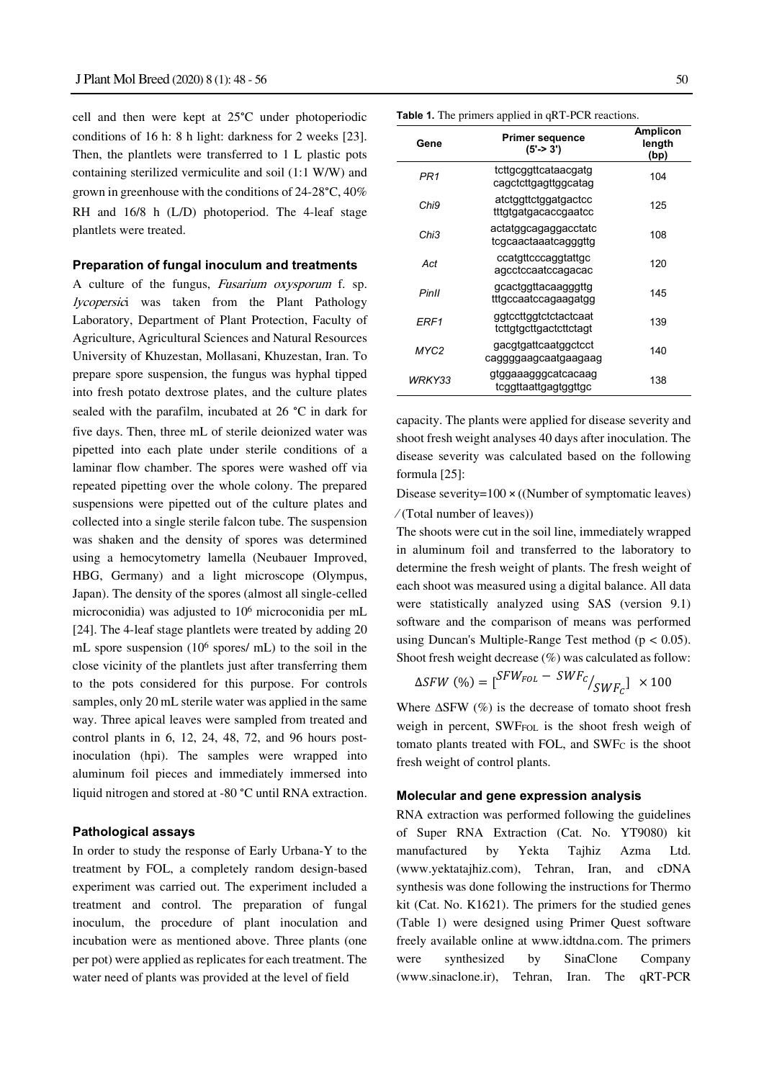cell and then were kept at 25°C under photoperiodic conditions of 16 h: 8 h light: darkness for 2 weeks [23]. Then, the plantlets were transferred to 1 L plastic pots containing sterilized vermiculite and soil (1:1 W/W) and grown in greenhouse with the conditions of 24-28°C, 40% RH and  $16/8$  h (L/D) photoperiod. The 4-leaf stage plantlets were treated.

#### **Preparation of fungal inoculum and treatments**

A culture of the fungus, Fusarium oxysporum f. sp. lycopersici was taken from the Plant Pathology Laboratory, Department of Plant Protection, Faculty of Agriculture, Agricultural Sciences and Natural Resources University of Khuzestan, Mollasani, Khuzestan, Iran. To prepare spore suspension, the fungus was hyphal tipped into fresh potato dextrose plates, and the culture plates sealed with the parafilm, incubated at 26 °C in dark for five days. Then, three mL of sterile deionized water was pipetted into each plate under sterile conditions of a laminar flow chamber. The spores were washed off via repeated pipetting over the whole colony. The prepared suspensions were pipetted out of the culture plates and collected into a single sterile falcon tube. The suspension was shaken and the density of spores was determined using a hemocytometry lamella (Neubauer Improved, HBG, Germany) and a light microscope (Olympus, Japan). The density of the spores (almost all single-celled microconidia) was adjusted to 106 microconidia per mL [24]. The 4-leaf stage plantlets were treated by adding 20 mL spore suspension (106 spores/ mL) to the soil in the close vicinity of the plantlets just after transferring them to the pots considered for this purpose. For controls samples, only 20 mL sterile water was applied in the same way. Three apical leaves were sampled from treated and control plants in 6, 12, 24, 48, 72, and 96 hours postinoculation (hpi). The samples were wrapped into aluminum foil pieces and immediately immersed into liquid nitrogen and stored at -80 °C until RNA extraction.

#### **Pathological assays**

In order to study the response of Early Urbana-Y to the treatment by FOL, a completely random design-based experiment was carried out. The experiment included a treatment and control. The preparation of fungal inoculum, the procedure of plant inoculation and incubation were as mentioned above. Three plants (one per pot) were applied as replicates for each treatment. The water need of plants was provided at the level of field

**Table 1.** The primers applied in qRT-PCR reactions.

| Gene   | <b>Primer sequence</b><br>$(5'-3')$             | <b>Amplicon</b><br>length<br>(bp) |
|--------|-------------------------------------------------|-----------------------------------|
| PR1    | tcttgcggttcataacgatg<br>cagctcttgagttggcatag    | 104                               |
| Chi9   | atctggttctggatgactcc<br>tttgtgatgacaccgaatcc    | 125                               |
| Chi3   | actatggcagaggacctatc<br>tcgcaactaaatcagggttg    | 108                               |
| Act    | ccatgttcccaggtattgc<br>agcctccaatccagacac       | 120                               |
| PinII  | gcactggttacaagggttg<br>tttgccaatccagaagatgg     | 145                               |
| FRF1   | ggtccttggtctctactcaat<br>tcttgtgcttgactcttctagt | 139                               |
| MYC2   | gacgtgattcaatggctcct<br>caggggaagcaatgaagaag    | 140                               |
| WRKY33 | gtggaaagggcatcacaag<br>tcggttaattgagtggttgc     | 138                               |

capacity. The plants were applied for disease severity and shoot fresh weight analyses 40 days after inoculation. The disease severity was calculated based on the following formula [25]:

Disease severity= $100 \times ($ (Number of symptomatic leaves) ⁄ (Total number of leaves))

The shoots were cut in the soil line, immediately wrapped in aluminum foil and transferred to the laboratory to determine the fresh weight of plants. The fresh weight of each shoot was measured using a digital balance. All data were statistically analyzed using SAS (version 9.1) software and the comparison of means was performed using Duncan's Multiple-Range Test method ( $p < 0.05$ ). Shoot fresh weight decrease (%) was calculated as follow:

$$
\Delta SFW (%) = \left[ \frac{SFW_{FOL} - SWF_C}{SWF_C} \right] \times 100
$$

Where ∆SFW (%) is the decrease of tomato shoot fresh weigh in percent, SWF<sub>FOL</sub> is the shoot fresh weigh of tomato plants treated with FOL, and SWFC is the shoot fresh weight of control plants.

#### **Molecular and gene expression analysis**

RNA extraction was performed following the guidelines of Super RNA Extraction (Cat. No. YT9080) kit manufactured by Yekta Tajhiz Azma Ltd. (www.yektatajhiz.com), Tehran, Iran, and cDNA synthesis was done following the instructions for Thermo kit (Cat. No. K1621). The primers for the studied genes (Table 1) were designed using Primer Quest software freely available online at www.idtdna.com. The primers were synthesized by SinaClone Company (www.sinaclone.ir), Tehran, Iran. The qRT-PCR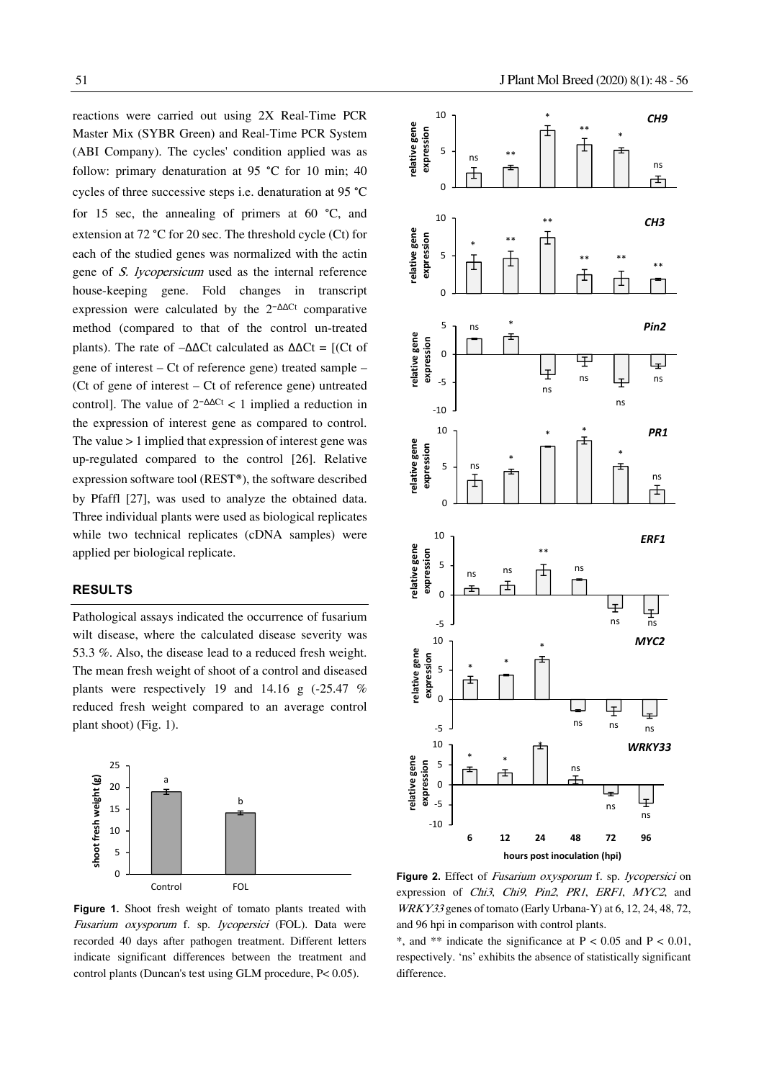reactions were carried out using 2X Real-Time PCR Master Mix (SYBR Green) and Real-Time PCR System (ABI Company). The cycles' condition applied was as follow: primary denaturation at 95 °C for 10 min; 40 cycles of three successive steps i.e. denaturation at 95 °C for 15 sec, the annealing of primers at 60 °C, and extension at 72 °C for 20 sec. The threshold cycle (Ct) for each of the studied genes was normalized with the actin gene of S. lycopersicum used as the internal reference house-keeping gene. Fold changes in transcript expression were calculated by the 2−ΔΔCt comparative method (compared to that of the control un-treated plants). The rate of  $-\Delta\Delta$ Ct calculated as  $\Delta\Delta$ Ct = [(Ct of gene of interest – Ct of reference gene) treated sample – (Ct of gene of interest – Ct of reference gene) untreated control]. The value of  $2^{-\Delta\Delta Ct}$  < 1 implied a reduction in the expression of interest gene as compared to control. The value > 1 implied that expression of interest gene was up-regulated compared to the control [26]. Relative expression software tool (REST®), the software described by Pfaffl [27], was used to analyze the obtained data. Three individual plants were used as biological replicates while two technical replicates (cDNA samples) were applied per biological replicate.

#### **RESULTS**

Pathological assays indicated the occurrence of fusarium wilt disease, where the calculated disease severity was 53.3 %. Also, the disease lead to a reduced fresh weight. The mean fresh weight of shoot of a control and diseased plants were respectively 19 and 14.16 g (-25.47 % reduced fresh weight compared to an average control plant shoot) (Fig. 1).



**Figure 1.** Shoot fresh weight of tomato plants treated with Fusarium oxysporum f. sp. lycopersici (FOL). Data were recorded 40 days after pathogen treatment. Different letters indicate significant differences between the treatment and control plants (Duncan's test using GLM procedure, P< 0.05).



Figure 2. Effect of Fusarium oxysporum f. sp. lycopersici on expression of *Chi3*, *Chi9*, *Pin2*, *PR1*, *ERF1*, *MYC2*, and WRKY33 genes of tomato (Early Urbana-Y) at 6, 12, 24, 48, 72, and 96 hpi in comparison with control plants.

\*, and \*\* indicate the significance at  $P < 0.05$  and  $P < 0.01$ , respectively. 'ns' exhibits the absence of statistically significant difference.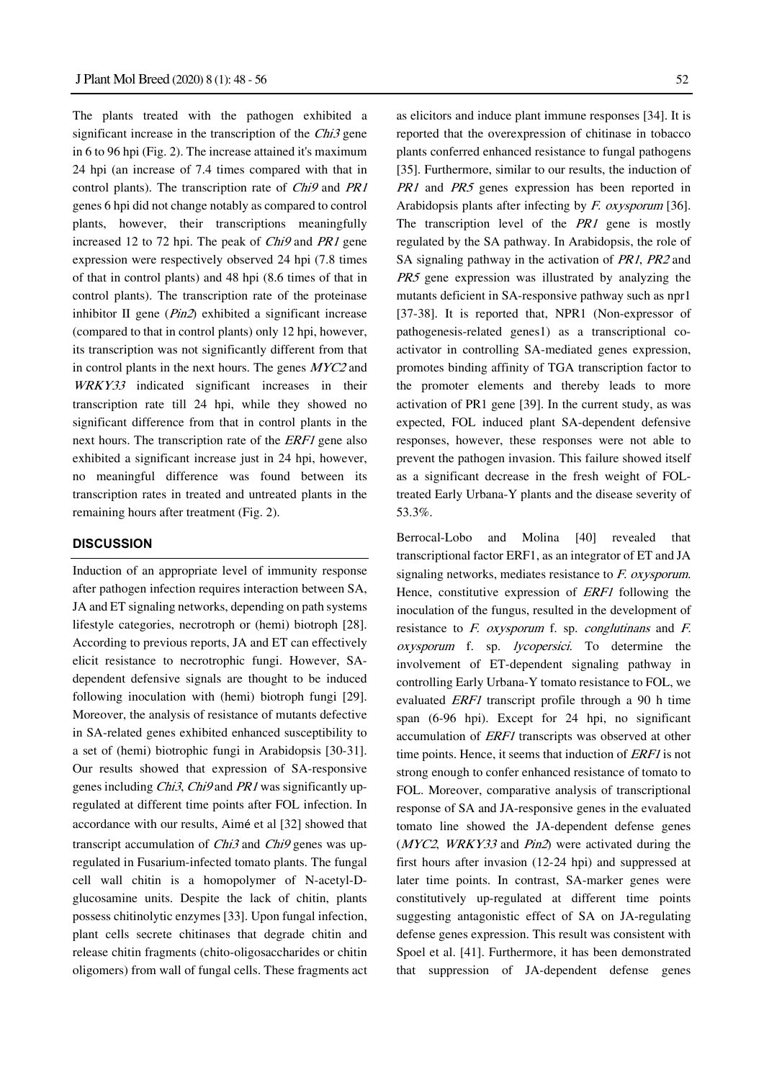The plants treated with the pathogen exhibited a significant increase in the transcription of the  $Chi3$  gene in 6 to 96 hpi (Fig. 2). The increase attained it's maximum 24 hpi (an increase of 7.4 times compared with that in control plants). The transcription rate of Chi9 and PR1 genes 6 hpi did not change notably as compared to control plants, however, their transcriptions meaningfully increased 12 to 72 hpi. The peak of Chi9 and PR1 gene expression were respectively observed 24 hpi (7.8 times of that in control plants) and 48 hpi (8.6 times of that in control plants). The transcription rate of the proteinase inhibitor II gene (Pin2) exhibited a significant increase (compared to that in control plants) only 12 hpi, however, its transcription was not significantly different from that in control plants in the next hours. The genes MYC2 and WRKY33 indicated significant increases in their transcription rate till 24 hpi, while they showed no significant difference from that in control plants in the next hours. The transcription rate of the ERF1 gene also exhibited a significant increase just in 24 hpi, however, no meaningful difference was found between its transcription rates in treated and untreated plants in the remaining hours after treatment (Fig. 2).

#### **DISCUSSION**

Induction of an appropriate level of immunity response after pathogen infection requires interaction between SA, JA and ET signaling networks, depending on path systems lifestyle categories, necrotroph or (hemi) biotroph [28]. According to previous reports, JA and ET can effectively elicit resistance to necrotrophic fungi. However, SAdependent defensive signals are thought to be induced following inoculation with (hemi) biotroph fungi [29]. Moreover, the analysis of resistance of mutants defective in SA-related genes exhibited enhanced susceptibility to a set of (hemi) biotrophic fungi in Arabidopsis [30-31]. Our results showed that expression of SA-responsive genes including Chi3, Chi9 and PR1 was significantly upregulated at different time points after FOL infection. In accordance with our results, Aimé et al [32] showed that transcript accumulation of *Chi3* and *Chi9* genes was upregulated in Fusarium-infected tomato plants. The fungal cell wall chitin is a homopolymer of N-acetyl-Dglucosamine units. Despite the lack of chitin, plants possess chitinolytic enzymes [33]. Upon fungal infection, plant cells secrete chitinases that degrade chitin and release chitin fragments (chito-oligosaccharides or chitin oligomers) from wall of fungal cells. These fragments act as elicitors and induce plant immune responses [34]. It is reported that the overexpression of chitinase in tobacco plants conferred enhanced resistance to fungal pathogens [35]. Furthermore, similar to our results, the induction of PR1 and PR5 genes expression has been reported in Arabidopsis plants after infecting by F. oxysporum [36]. The transcription level of the  $PR1$  gene is mostly regulated by the SA pathway. In Arabidopsis, the role of SA signaling pathway in the activation of PR1, PR2 and PR5 gene expression was illustrated by analyzing the mutants deficient in SA-responsive pathway such as npr1 [37-38]. It is reported that, NPR1 (Non-expressor of pathogenesis-related genes1) as a transcriptional coactivator in controlling SA-mediated genes expression, promotes binding affinity of TGA transcription factor to the promoter elements and thereby leads to more activation of PR1 gene [39]. In the current study, as was expected, FOL induced plant SA-dependent defensive responses, however, these responses were not able to prevent the pathogen invasion. This failure showed itself as a significant decrease in the fresh weight of FOLtreated Early Urbana-Y plants and the disease severity of 53.3%.

Berrocal-Lobo and Molina [40] revealed that transcriptional factor ERF1, as an integrator of ET and JA signaling networks, mediates resistance to F. oxysporum. Hence, constitutive expression of *ERF1* following the inoculation of the fungus, resulted in the development of resistance to  $F$ . oxysporum f. sp. conglutinans and  $F$ . oxysporum f. sp. lycopersici. To determine the involvement of ET-dependent signaling pathway in controlling Early Urbana-Y tomato resistance to FOL, we evaluated ERF1 transcript profile through a 90 h time span (6-96 hpi). Except for 24 hpi, no significant accumulation of ERF1 transcripts was observed at other time points. Hence, it seems that induction of *ERF1* is not strong enough to confer enhanced resistance of tomato to FOL. Moreover, comparative analysis of transcriptional response of SA and JA-responsive genes in the evaluated tomato line showed the JA-dependent defense genes (MYC2, WRKY33 and Pin2) were activated during the first hours after invasion (12-24 hpi) and suppressed at later time points. In contrast, SA-marker genes were constitutively up-regulated at different time points suggesting antagonistic effect of SA on JA-regulating defense genes expression. This result was consistent with Spoel et al. [41]. Furthermore, it has been demonstrated that suppression of JA-dependent defense genes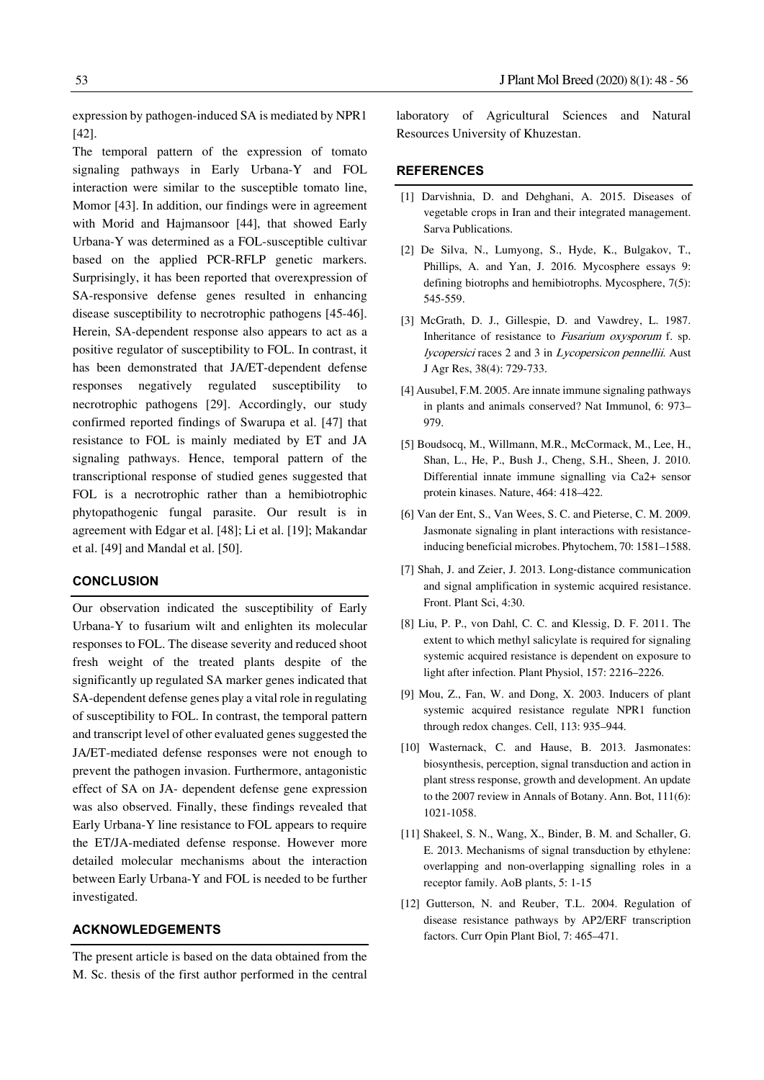expression by pathogen-induced SA is mediated by NPR1 [42].

The temporal pattern of the expression of tomato signaling pathways in Early Urbana-Y and FOL interaction were similar to the susceptible tomato line, Momor [43]. In addition, our findings were in agreement with Morid and Hajmansoor [44], that showed Early Urbana-Y was determined as a FOL-susceptible cultivar based on the applied PCR-RFLP genetic markers. Surprisingly, it has been reported that overexpression of SA-responsive defense genes resulted in enhancing disease susceptibility to necrotrophic pathogens [45-46]. Herein, SA-dependent response also appears to act as a positive regulator of susceptibility to FOL. In contrast, it has been demonstrated that JA/ET-dependent defense responses negatively regulated susceptibility to necrotrophic pathogens [29]. Accordingly, our study confirmed reported findings of Swarupa et al. [47] that resistance to FOL is mainly mediated by ET and JA signaling pathways. Hence, temporal pattern of the transcriptional response of studied genes suggested that FOL is a necrotrophic rather than a hemibiotrophic phytopathogenic fungal parasite. Our result is in agreement with Edgar et al. [48]; Li et al. [19]; Makandar et al. [49] and Mandal et al. [50].

# **CONCLUSION**

Our observation indicated the susceptibility of Early Urbana-Y to fusarium wilt and enlighten its molecular responses to FOL. The disease severity and reduced shoot fresh weight of the treated plants despite of the significantly up regulated SA marker genes indicated that SA-dependent defense genes play a vital role in regulating of susceptibility to FOL. In contrast, the temporal pattern and transcript level of other evaluated genes suggested the JA/ET-mediated defense responses were not enough to prevent the pathogen invasion. Furthermore, antagonistic effect of SA on JA- dependent defense gene expression was also observed. Finally, these findings revealed that Early Urbana-Y line resistance to FOL appears to require the ET/JA-mediated defense response. However more detailed molecular mechanisms about the interaction between Early Urbana-Y and FOL is needed to be further investigated.

## **ACKNOWLEDGEMENTS**

The present article is based on the data obtained from the M. Sc. thesis of the first author performed in the central

laboratory of Agricultural Sciences and Natural Resources University of Khuzestan.

## **REFERENCES**

- [1] Darvishnia, D. and Dehghani, A. 2015. Diseases of vegetable crops in Iran and their integrated management. Sarva Publications.
- [2] De Silva, N., Lumyong, S., Hyde, K., Bulgakov, T., Phillips, A. and Yan, J. 2016. Mycosphere essays 9: defining biotrophs and hemibiotrophs. Mycosphere, 7(5): 545-559.
- [3] McGrath, D. J., Gillespie, D. and Vawdrey, L. 1987. Inheritance of resistance to Fusarium oxysporum f. sp. lycopersici races 2 and 3 in Lycopersicon pennellii. Aust J Agr Res, 38(4): 729-733.
- [4] Ausubel, F.M. 2005. Are innate immune signaling pathways in plants and animals conserved? Nat Immunol, 6: 973– 979.
- [5] Boudsocq, M., Willmann, M.R., McCormack, M., Lee, H., Shan, L., He, P., Bush J., Cheng, S.H., Sheen, J. 2010. Differential innate immune signalling via Ca2+ sensor protein kinases. Nature, 464: 418–422.
- [6] Van der Ent, S., Van Wees, S. C. and Pieterse, C. M. 2009. Jasmonate signaling in plant interactions with resistanceinducing beneficial microbes. Phytochem, 70: 1581–1588.
- [7] Shah, J. and Zeier, J. 2013. Long-distance communication and signal amplification in systemic acquired resistance. Front. Plant Sci, 4:30.
- [8] Liu, P. P., von Dahl, C. C. and Klessig, D. F. 2011. The extent to which methyl salicylate is required for signaling systemic acquired resistance is dependent on exposure to light after infection. Plant Physiol, 157: 2216–2226.
- [9] Mou, Z., Fan, W. and Dong, X. 2003. Inducers of plant systemic acquired resistance regulate NPR1 function through redox changes. Cell, 113: 935–944.
- [10] Wasternack, C. and Hause, B. 2013. Jasmonates: biosynthesis, perception, signal transduction and action in plant stress response, growth and development. An update to the 2007 review in Annals of Botany. Ann. Bot, 111(6): 1021-1058.
- [11] Shakeel, S. N., Wang, X., Binder, B. M. and Schaller, G. E. 2013. Mechanisms of signal transduction by ethylene: overlapping and non-overlapping signalling roles in a receptor family. AoB plants, 5: 1-15
- [12] Gutterson, N. and Reuber, T.L. 2004. Regulation of disease resistance pathways by AP2/ERF transcription factors. Curr Opin Plant Biol, 7: 465–471.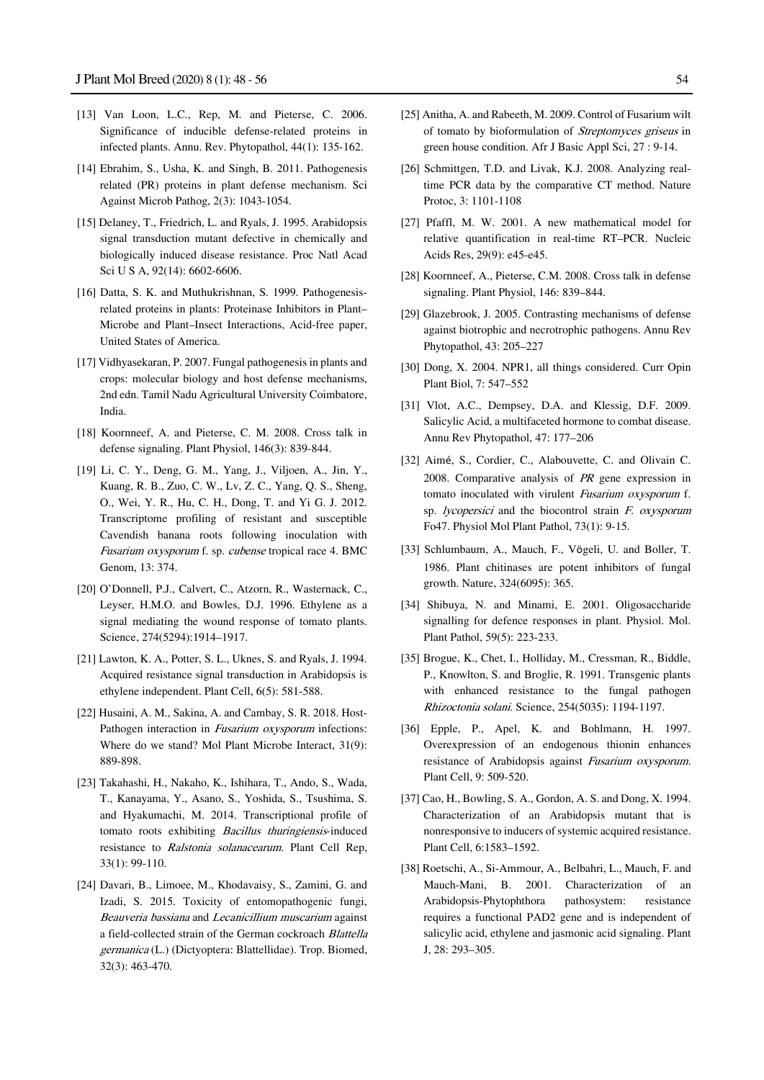- [13] Van Loon, L.C., Rep, M. and Pieterse, C. 2006. Significance of inducible defense-related proteins in infected plants. Annu. Rev. Phytopathol, 44(1): 135-162.
- [14] Ebrahim, S., Usha, K. and Singh, B. 2011. Pathogenesis related (PR) proteins in plant defense mechanism. Sci Against Microb Pathog, 2(3): 1043-1054.
- [15] Delaney, T., Friedrich, L. and Ryals, J. 1995. Arabidopsis signal transduction mutant defective in chemically and biologically induced disease resistance. Proc Natl Acad Sci U S A, 92(14): 6602-6606.
- [16] Datta, S. K. and Muthukrishnan, S. 1999. Pathogenesisrelated proteins in plants: Proteinase Inhibitors in Plant– Microbe and Plant–Insect Interactions, Acid-free paper, United States of America.
- [17] Vidhyasekaran, P. 2007. Fungal pathogenesis in plants and crops: molecular biology and host defense mechanisms, 2nd edn. Tamil Nadu Agricultural University Coimbatore, India.
- [18] Koornneef, A. and Pieterse, C. M. 2008. Cross talk in defense signaling. Plant Physiol, 146(3): 839-844.
- [19] Li, C. Y., Deng, G. M., Yang, J., Viljoen, A., Jin, Y., Kuang, R. B., Zuo, C. W., Lv, Z. C., Yang, Q. S., Sheng, O., Wei, Y. R., Hu, C. H., Dong, T. and Yi G. J. 2012. Transcriptome profiling of resistant and susceptible Cavendish banana roots following inoculation with Fusarium oxysporum f. sp. cubense tropical race 4. BMC Genom, 13: 374.
- [20] O'Donnell, P.J., Calvert, C., Atzorn, R., Wasternack, C., Leyser, H.M.O. and Bowles, D.J. 1996. Ethylene as a signal mediating the wound response of tomato plants. Science, 274(5294):1914–1917.
- [21] Lawton, K. A., Potter, S. L., Uknes, S. and Ryals, J. 1994. Acquired resistance signal transduction in Arabidopsis is ethylene independent. Plant Cell, 6(5): 581-588.
- [22] Husaini, A. M., Sakina, A. and Cambay, S. R. 2018. Host-Pathogen interaction in Fusarium oxysporum infections: Where do we stand? Mol Plant Microbe Interact, 31(9): 889-898.
- [23] Takahashi, H., Nakaho, K., Ishihara, T., Ando, S., Wada, T., Kanayama, Y., Asano, S., Yoshida, S., Tsushima, S. and Hyakumachi, M. 2014. Transcriptional profile of tomato roots exhibiting *Bacillus thuringiensis*-induced resistance to Ralstonia solanacearum. Plant Cell Rep, 33(1): 99-110.
- [24] Davari, B., Limoee, M., Khodavaisy, S., Zamini, G. and Izadi, S. 2015. Toxicity of entomopathogenic fungi, Beauveria bassiana and Lecanicillium muscarium against a field-collected strain of the German cockroach Blattella germanica (L.) (Dictyoptera: Blattellidae). Trop. Biomed, 32(3): 463-470.
- [25] Anitha, A. and Rabeeth, M. 2009. Control of Fusarium wilt of tomato by bioformulation of Streptomyces griseus in green house condition. Afr J Basic Appl Sci, 27 : 9-14.
- [26] Schmittgen, T.D. and Livak, K.J. 2008. Analyzing realtime PCR data by the comparative CT method. Nature Protoc, 3: 1101-1108
- [27] Pfaffl, M. W. 2001. A new mathematical model for relative quantification in real-time RT–PCR. Nucleic Acids Res, 29(9): e45-e45.
- [28] Koornneef, A., Pieterse, C.M. 2008. Cross talk in defense signaling. Plant Physiol, 146: 839–844.
- [29] Glazebrook, J. 2005. Contrasting mechanisms of defense against biotrophic and necrotrophic pathogens. Annu Rev Phytopathol, 43: 205–227
- [30] Dong, X. 2004. NPR1, all things considered. Curr Opin Plant Biol, 7: 547–552
- [31] Vlot, A.C., Dempsey, D.A. and Klessig, D.F. 2009. Salicylic Acid, a multifaceted hormone to combat disease. Annu Rev Phytopathol, 47: 177–206
- [32] Aimé, S., Cordier, C., Alabouvette, C. and Olivain C. 2008. Comparative analysis of PR gene expression in tomato inoculated with virulent Fusarium oxysporum f. sp. *lycopersici* and the biocontrol strain F. oxysporum Fo47. Physiol Mol Plant Pathol, 73(1): 9-15.
- [33] Schlumbaum, A., Mauch, F., Vögeli, U. and Boller, T. 1986. Plant chitinases are potent inhibitors of fungal growth. Nature, 324(6095): 365.
- [34] Shibuya, N. and Minami, E. 2001. Oligosaccharide signalling for defence responses in plant. Physiol. Mol. Plant Pathol, 59(5): 223-233.
- [35] Brogue, K., Chet, I., Holliday, M., Cressman, R., Biddle, P., Knowlton, S. and Broglie, R. 1991. Transgenic plants with enhanced resistance to the fungal pathogen Rhizoctonia solani. Science, 254(5035): 1194-1197.
- [36] Epple, P., Apel, K. and Bohlmann, H. 1997. Overexpression of an endogenous thionin enhances resistance of Arabidopsis against Fusarium oxysporum. Plant Cell, 9: 509-520.
- [37] Cao, H., Bowling, S. A., Gordon, A. S. and Dong, X. 1994. Characterization of an Arabidopsis mutant that is nonresponsive to inducers of systemic acquired resistance. Plant Cell, 6:1583–1592.
- [38] Roetschi, A., Si-Ammour, A., Belbahri, L., Mauch, F. and Mauch-Mani, B. 2001. Characterization of an Arabidopsis-Phytophthora pathosystem: resistance requires a functional PAD2 gene and is independent of salicylic acid, ethylene and jasmonic acid signaling. Plant J, 28: 293–305.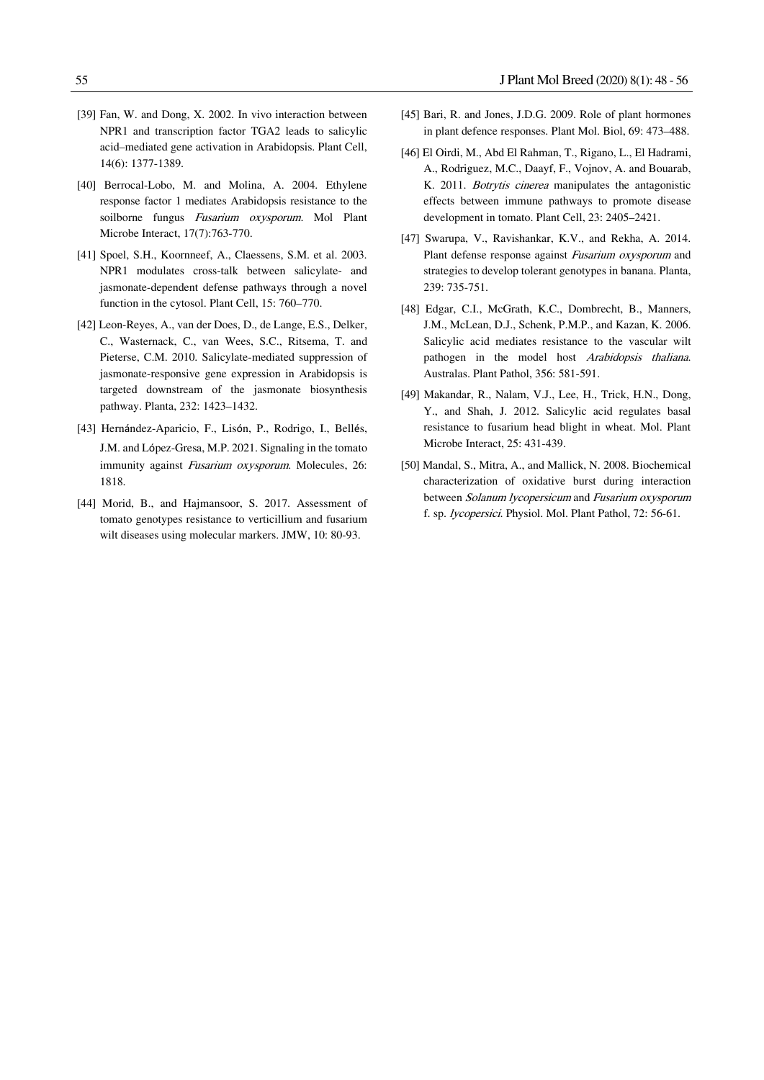- [39] Fan, W. and Dong, X. 2002. In vivo interaction between NPR1 and transcription factor TGA2 leads to salicylic acid–mediated gene activation in Arabidopsis. Plant Cell, 14(6): 1377-1389.
- [40] Berrocal-Lobo, M. and Molina, A. 2004. Ethylene response factor 1 mediates Arabidopsis resistance to the soilborne fungus Fusarium oxysporum. Mol Plant Microbe Interact, 17(7):763-770.
- [41] Spoel, S.H., Koornneef, A., Claessens, S.M. et al. 2003. NPR1 modulates cross-talk between salicylate- and jasmonate-dependent defense pathways through a novel function in the cytosol. Plant Cell, 15: 760–770.
- [42] Leon-Reyes, A., van der Does, D., de Lange, E.S., Delker, C., Wasternack, C., van Wees, S.C., Ritsema, T. and Pieterse, C.M. 2010. Salicylate-mediated suppression of jasmonate-responsive gene expression in Arabidopsis is targeted downstream of the jasmonate biosynthesis pathway. Planta, 232: 1423–1432.
- [43] Hernández-Aparicio, F., Lisón, P., Rodrigo, I., Bellés, J.M. and López-Gresa, M.P. 2021. Signaling in the tomato immunity against Fusarium oxysporum. Molecules, 26: 1818.
- [44] Morid, B., and Hajmansoor, S. 2017. Assessment of tomato genotypes resistance to verticillium and fusarium wilt diseases using molecular markers. JMW, 10: 80-93.
- [45] Bari, R. and Jones, J.D.G. 2009. Role of plant hormones in plant defence responses. Plant Mol. Biol, 69: 473–488.
- [46] El Oirdi, M., Abd El Rahman, T., Rigano, L., El Hadrami, A., Rodriguez, M.C., Daayf, F., Vojnov, A. and Bouarab, K. 2011. Botrytis cinerea manipulates the antagonistic effects between immune pathways to promote disease development in tomato. Plant Cell, 23: 2405–2421.
- [47] Swarupa, V., Ravishankar, K.V., and Rekha, A. 2014. Plant defense response against Fusarium oxysporum and strategies to develop tolerant genotypes in banana. Planta, 239: 735-751.
- [48] Edgar, C.I., McGrath, K.C., Dombrecht, B., Manners, J.M., McLean, D.J., Schenk, P.M.P., and Kazan, K. 2006. Salicylic acid mediates resistance to the vascular wilt pathogen in the model host Arabidopsis thaliana. Australas. Plant Pathol, 356: 581-591.
- [49] Makandar, R., Nalam, V.J., Lee, H., Trick, H.N., Dong, Y., and Shah, J. 2012. Salicylic acid regulates basal resistance to fusarium head blight in wheat. Mol. Plant Microbe Interact, 25: 431-439.
- [50] Mandal, S., Mitra, A., and Mallick, N. 2008. Biochemical characterization of oxidative burst during interaction between Solanum lycopersicum and Fusarium oxysporum f. sp. lycopersici. Physiol. Mol. Plant Pathol, 72: 56-61.